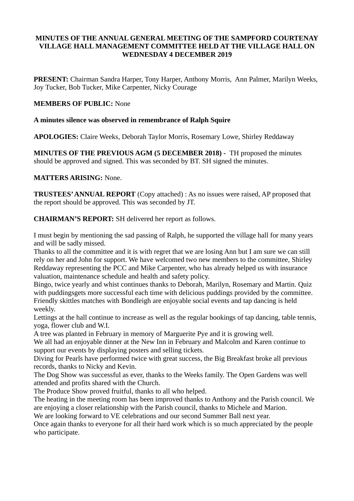## **MINUTES OF THE ANNUAL GENERAL MEETING OF THE SAMPFORD COURTENAY VILLAGE HALL MANAGEMENT COMMITTEE HELD AT THE VILLAGE HALL ON WEDNESDAY 4 DECEMBER 2019**

**PRESENT:** Chairman Sandra Harper, Tony Harper, Anthony Morris, Ann Palmer, Marilyn Weeks, Joy Tucker, Bob Tucker, Mike Carpenter, Nicky Courage

# **MEMBERS OF PUBLIC:** None

## **A minutes silence was observed in remembrance of Ralph Squire**

**APOLOGIES:** Claire Weeks, Deborah Taylor Morris, Rosemary Lowe, Shirley Reddaway

**MINUTES OF THE PREVIOUS AGM (5 DECEMBER 2018) -** TH proposed the minutes should be approved and signed. This was seconded by BT. SH signed the minutes.

# **MATTERS ARISING:** None.

**TRUSTEES' ANNUAL REPORT** (Copy attached) : As no issues were raised, AP proposed that the report should be approved. This was seconded by JT.

**CHAIRMAN'S REPORT:** SH delivered her report as follows.

I must begin by mentioning the sad passing of Ralph, he supported the village hall for many years and will be sadly missed.

Thanks to all the committee and it is with regret that we are losing Ann but I am sure we can still rely on her and John for support. We have welcomed two new members to the committee, Shirley Reddaway representing the PCC and Mike Carpenter, who has already helped us with insurance valuation, maintenance schedule and health and safety policy.

Bingo, twice yearly and whist continues thanks to Deborah, Marilyn, Rosemary and Martin. Quiz with puddingsgets more successful each time with delicious puddings provided by the committee. Friendly skittles matches with Bondleigh are enjoyable social events and tap dancing is held weekly.

Lettings at the hall continue to increase as well as the regular bookings of tap dancing, table tennis, yoga, flower club and W.I.

A tree was planted in February in memory of Marguerite Pye and it is growing well.

We all had an enjoyable dinner at the New Inn in February and Malcolm and Karen continue to support our events by displaying posters and selling tickets.

Diving for Pearls have performed twice with great success, the Big Breakfast broke all previous records, thanks to Nicky and Kevin.

The Dog Show was successful as ever, thanks to the Weeks family. The Open Gardens was well attended and profits shared with the Church.

The Produce Show proved fruitful, thanks to all who helped.

The heating in the meeting room has been improved thanks to Anthony and the Parish council. We are enjoying a closer relationship with the Parish council, thanks to Michele and Marion.

We are looking forward to VE celebrations and our second Summer Ball next year.

Once again thanks to everyone for all their hard work which is so much appreciated by the people who participate.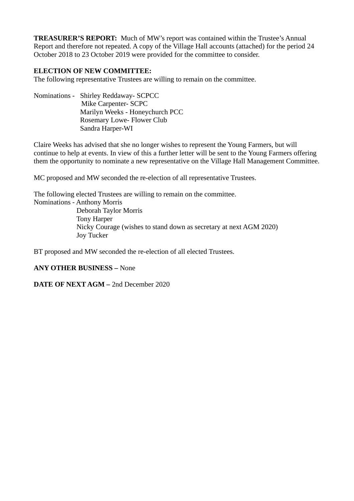**TREASURER'S REPORT:** Much of MW's report was contained within the Trustee's Annual Report and therefore not repeated. A copy of the Village Hall accounts (attached) for the period 24 October 2018 to 23 October 2019 were provided for the committee to consider.

# **ELECTION OF NEW COMMITTEE:**

The following representative Trustees are willing to remain on the committee.

Nominations - Shirley Reddaway- SCPCC Mike Carpenter- SCPC Marilyn Weeks - Honeychurch PCC Rosemary Lowe- Flower Club Sandra Harper-WI

Claire Weeks has advised that she no longer wishes to represent the Young Farmers, but will continue to help at events. In view of this a further letter will be sent to the Young Farmers offering them the opportunity to nominate a new representative on the Village Hall Management Committee.

MC proposed and MW seconded the re-election of all representative Trustees.

The following elected Trustees are willing to remain on the committee. Nominations - Anthony Morris Deborah Taylor Morris Tony Harper Nicky Courage (wishes to stand down as secretary at next AGM 2020) Joy Tucker

BT proposed and MW seconded the re-election of all elected Trustees.

### **ANY OTHER BUSINESS –** None

### **DATE OF NEXT AGM –** 2nd December 2020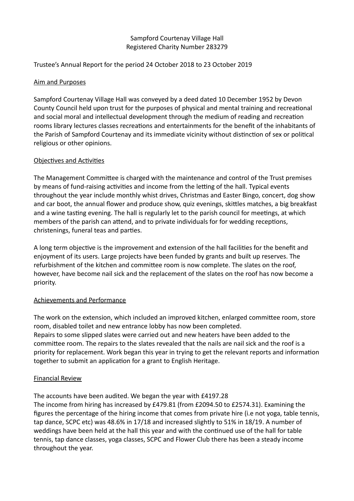# Sampford Courtenay Village Hall Registered Charity Number 283279

# Trustee's Annual Report for the period 24 October 2018 to 23 October 2019

# Aim and Purposes

Sampford Courtenay Village Hall was conveyed by a deed dated 10 December 1952 by Devon County Council held upon trust for the purposes of physical and mental training and recreatonal and social moral and intellectual development through the medium of reading and recreaton rooms library lectures classes recreations and entertainments for the benefit of the inhabitants of the Parish of Sampford Courtenay and its immediate vicinity without distinction of sex or political religious or other opinions.

## Objectives and Activities

The Management Commitee is charged with the maintenance and control of the Trust premises by means of fund-raising activities and income from the letting of the hall. Typical events throughout the year include monthly whist drives, Christmas and Easter Bingo, concert, dog show and car boot, the annual fower and produce show, quiz evenings, skitles matches, a big breakfast and a wine tasting evening. The hall is regularly let to the parish council for meetings, at which members of the parish can attend, and to private individuals for for wedding receptions, christenings, funeral teas and parties.

A long term objectve is the improvement and extension of the hall facilites for the beneft and enjoyment of its users. Large projects have been funded by grants and built up reserves. The refurbishment of the kitchen and commitee room is now complete. The slates on the roof, however, have become nail sick and the replacement of the slates on the roof has now become a priority.

# Achievements and Performance

The work on the extension, which included an improved kitchen, enlarged commitee room, store room, disabled toilet and new entrance lobby has now been completed. Repairs to some slipped slates were carried out and new heaters have been added to the commitee room. The repairs to the slates revealed that the nails are nail sick and the roof is a priority for replacement. Work began this year in trying to get the relevant reports and informaton together to submit an applicaton for a grant to English Heritage.

### Financial Review

The accounts have been audited. We began the year with £4197.28

The income from hiring has increased by £479.81 (from £2094.50 to £2574.31). Examining the fgures the percentage of the hiring income that comes from private hire (i.e not yoga, table tennis, tap dance, SCPC etc) was 48.6% in 17/18 and increased slightly to 51% in 18/19. A number of weddings have been held at the hall this year and with the continued use of the hall for table tennis, tap dance classes, yoga classes, SCPC and Flower Club there has been a steady income throughout the year.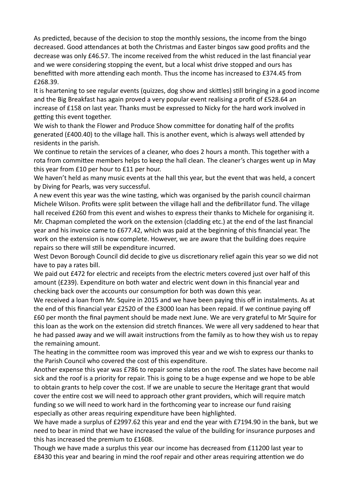As predicted, because of the decision to stop the monthly sessions, the income from the bingo decreased. Good atendances at both the Christmas and Easter bingos saw good profts and the decrease was only £46.57. The income received from the whist reduced in the last fnancial year and we were considering stopping the event, but a local whist drive stopped and ours has benefitted with more attending each month. Thus the income has increased to £374.45 from £268.39.

It is heartening to see regular events (quizzes, dog show and skittles) still bringing in a good income and the Big Breakfast has again proved a very popular event realising a proft of £528.64 an increase of £158 on last year. Thanks must be expressed to Nicky for the hard work involved in getting this event together.

We wish to thank the Flower and Produce Show committee for donating half of the profits generated (£400.40) to the village hall. This is another event, which is always well atended by residents in the parish.

We continue to retain the services of a cleaner, who does 2 hours a month. This together with a rota from commitee members helps to keep the hall clean. The cleaner's charges went up in May this year from £10 per hour to £11 per hour.

We haven't held as many music events at the hall this year, but the event that was held, a concert by Diving for Pearls, was very successful.

A new event this year was the wine tastng, which was organised by the parish council chairman Michele Wilson. Profts were split between the village hall and the defbrillator fund. The village hall received £260 from this event and wishes to express their thanks to Michele for organising it. Mr. Chapman completed the work on the extension (cladding etc.) at the end of the last fnancial year and his invoice came to £677.42, which was paid at the beginning of this fnancial year. The work on the extension is now complete. However, we are aware that the building does require repairs so there will still be expenditure incurred.

West Devon Borough Council did decide to give us discretionary relief again this year so we did not have to pay a rates bill.

We paid out £472 for electric and receipts from the electric meters covered just over half of this amount (£239). Expenditure on both water and electric went down in this fnancial year and checking back over the accounts our consumption for both was down this year.

We received a loan from Mr. Squire in 2015 and we have been paying this off in instalments. As at the end of this financial year £2520 of the £3000 loan has been repaid. If we continue paying off £60 per month the fnal payment should be made next June. We are very grateful to Mr Squire for this loan as the work on the extension did stretch fnances. We were all very saddened to hear that he had passed away and we will await instructions from the family as to how they wish us to repay the remaining amount.

The heating in the committee room was improved this year and we wish to express our thanks to the Parish Council who covered the cost of this expenditure.

Another expense this year was £786 to repair some slates on the roof. The slates have become nail sick and the roof is a priority for repair. This is going to be a huge expense and we hope to be able to obtain grants to help cover the cost. If we are unable to secure the Heritage grant that would cover the entre cost we will need to approach other grant providers, which will require match funding so we will need to work hard in the forthcoming year to increase our fund raising especially as other areas requiring expenditure have been highlighted.

We have made a surplus of £2997.62 this year and end the year with £7194.90 in the bank, but we need to bear in mind that we have increased the value of the building for insurance purposes and this has increased the premium to £1608.

Though we have made a surplus this year our income has decreased from £11200 last year to £8430 this year and bearing in mind the roof repair and other areas requiring atenton we do